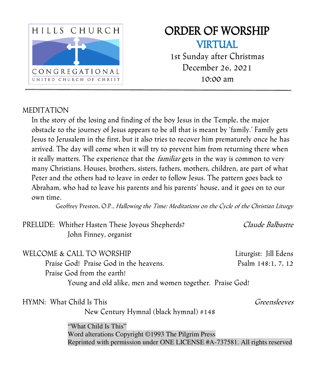

# ORDER OF WORSHIP VIRTUAL

1st Sunday after Christmas December 26, 2021 10:00 am

#### MEDITATION

In the story of the losing and finding of the boy Jesus in the Temple, the major obstacle to the journey of Jesus appears to be all that is meant by 'family.' Family gets Jesus to Jerusalem in the first, but it also tries to recover him prematurely once he has arrived. The day will come when it will try to prevent him from returning there when it really matters. The experience that the *familiar* gets in the way is common to very many Christians. Houses, brothers, sisters, fathers, mothers, children, are part of what Peter and the others had to leave in order to follow Jesus. The pattern goes back to Abraham, who had to leave his parents and his parents' house, and it goes on to our own time.

Geoffrey Preston, O.P., Hallowing the Time: Meditations on the Cycle of the Christian Liturgy

| PRELUDE: Whither Hasten These Joyous Shepherds?                            | Claude Balbastre      |
|----------------------------------------------------------------------------|-----------------------|
| John Finney, organist                                                      |                       |
| WELCOME & CALL TO WORSHIP                                                  | Liturgist: Jill Edens |
| Praise God! Praise God in the heavens.                                     | Psalm 148:1, 7, 12    |
| Praise God from the earth!                                                 |                       |
| Young and old alike, men and women together. Praise God!                   |                       |
| HYMN: What Child Is This                                                   | Greensleeves          |
| New Century Hymnal (black hymnal) #148                                     |                       |
| "What Child Is This"                                                       |                       |
| Word alterations Copyright ©1993 The Pilgrim Press                         |                       |
| Reprinted with permission under ONE LICENSE #A-737581. All rights reserved |                       |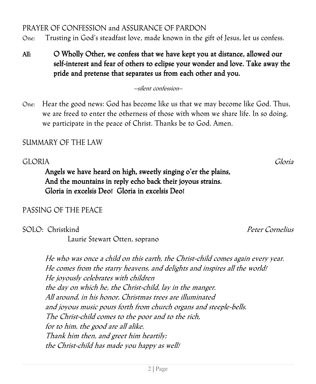PRAYER OF CONFESSION and ASSURANCE OF PARDON

One: Trusting in God's steadfast love, made known in the gift of Jesus, let us confess.

All: O Wholly Other, we confess that we have kept you at distance, allowed our self-interest and fear of others to eclipse your wonder and love. Take away the pride and pretense that separates us from each other and you.

--silent confession–

One: Hear the good news: God has become like us that we may become like God. Thus, we are freed to enter the otherness of those with whom we share life. In so doing, we participate in the peace of Christ. Thanks be to God. Amen.

## SUMMARY OF THE LAW

## GLORIA Gloria

 Angels we have heard on high, sweetly singing o'er the plains, And the mountains in reply echo back their joyous strains. Gloria in excelsis Deo! Gloria in excelsis Deo!

## PASSING OF THE PEACE

SOLO: Christkind Peter Cornelius

Laurie Stewart Otten, soprano

He who was once a child on this earth, the Christ-child comes again every year. He comes from the starry heavens, and delights and inspires all the world! He joyously celebrates with children the day on which he, the Christ-child, lay in the manger. All around, in his honor, Christmas trees are illuminated and joyous music pours forth from church organs and steeple-bells. The Christ-child comes to the poor and to the rich, for to him, the good are all alike. Thank him then, and greet him heartily; the Christ-child has made you happy as well!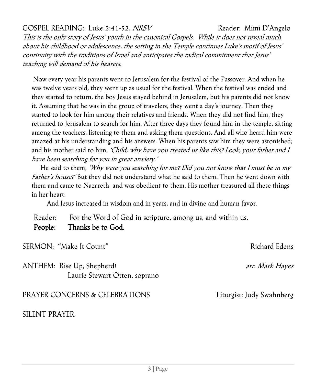## GOSPEL READING: Luke 2:41-52, NRSV Reader: Mimi D'Angelo

This is the only story of Jesus' youth in the canonical Gospels. While it does not reveal much about his childhood or adolescence, the setting in the Temple continues Luke's motif of Jesus' continuity with the traditions of Israel and anticipates the radical commitment that Jesus' teaching will demand of his hearers.

 Now every year his parents went to Jerusalem for the festival of the Passover. And when he was twelve years old, they went up as usual for the festival. When the festival was ended and they started to return, the boy Jesus stayed behind in Jerusalem, but his parents did not know it. Assuming that he was in the group of travelers, they went a day's journey. Then they started to look for him among their relatives and friends. When they did not find him, they returned to Jerusalem to search for him. After three days they found him in the temple, sitting among the teachers, listening to them and asking them questions. And all who heard him were amazed at his understanding and his answers. When his parents saw him they were astonished; and his mother said to him, 'Child, why have you treated us like this? Look, your father and I have been searching for you in great anxiety.'

He said to them, 'Why were you searching for me? Did you not know that I must be in my Father's house?' But they did not understand what he said to them. Then he went down with them and came to Nazareth, and was obedient to them. His mother treasured all these things in her heart.

And Jesus increased in wisdom and in years, and in divine and human favor.

Reader: For the Word of God in scripture, among us, and within us. People: Thanks be to God.

SERMON: "Make It Count" and the second service of the Richard Edens

ANTHEM: Rise Up, Shepherd! arr. Mark Hayes Laurie Stewart Otten, soprano

PRAYER CONCERNS & CELEBRATIONS Liturgist: Judy Swahnberg

SILENT PRAYER